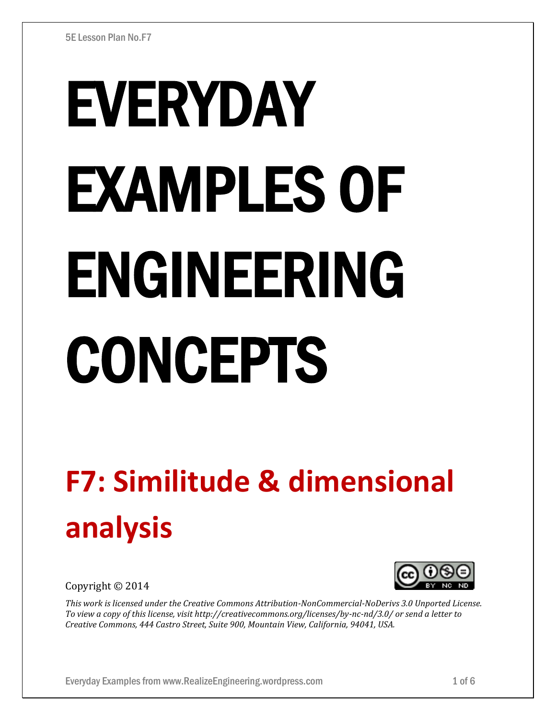# EVERYDAY EXAMPLES OF ENGINEERING CONCEPTS

# **F7: Similitude & dimensional analysis**

Copyright © 2014



*This work is licensed under the Creative Commons Attribution-NonCommercial-NoDerivs 3.0 Unported License. To view a copy of this license, visit http://creativecommons.org/licenses/by-nc-nd/3.0/ or send a letter to Creative Commons, 444 Castro Street, Suite 900, Mountain View, California, 94041, USA.*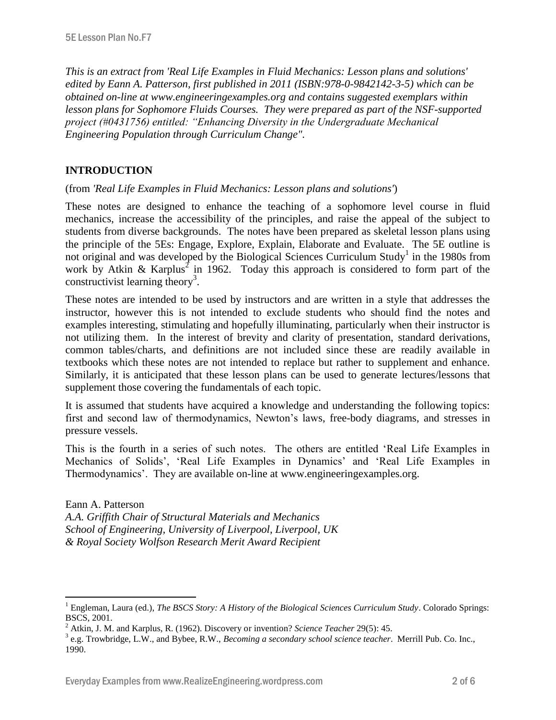*This is an extract from 'Real Life Examples in Fluid Mechanics: Lesson plans and solutions' edited by Eann A. Patterson, first published in 2011 (ISBN:978-0-9842142-3-5) which can be obtained on-line at www.engineeringexamples.org and contains suggested exemplars within lesson plans for Sophomore Fluids Courses. They were prepared as part of the NSF-supported project (#0431756) entitled: "Enhancing Diversity in the Undergraduate Mechanical Engineering Population through Curriculum Change".* 

# **INTRODUCTION**

 $\overline{a}$ 

(from *'Real Life Examples in Fluid Mechanics: Lesson plans and solutions'*)

These notes are designed to enhance the teaching of a sophomore level course in fluid mechanics, increase the accessibility of the principles, and raise the appeal of the subject to students from diverse backgrounds. The notes have been prepared as skeletal lesson plans using the principle of the 5Es: Engage, Explore, Explain, Elaborate and Evaluate. The 5E outline is not original and was developed by the Biological Sciences Curriculum Study<sup>1</sup> in the 1980s from work by Atkin & Karplus<sup>2</sup> in 1962. Today this approach is considered to form part of the constructivist learning theory<sup>3</sup>.

These notes are intended to be used by instructors and are written in a style that addresses the instructor, however this is not intended to exclude students who should find the notes and examples interesting, stimulating and hopefully illuminating, particularly when their instructor is not utilizing them. In the interest of brevity and clarity of presentation, standard derivations, common tables/charts, and definitions are not included since these are readily available in textbooks which these notes are not intended to replace but rather to supplement and enhance. Similarly, it is anticipated that these lesson plans can be used to generate lectures/lessons that supplement those covering the fundamentals of each topic.

It is assumed that students have acquired a knowledge and understanding the following topics: first and second law of thermodynamics, Newton's laws, free-body diagrams, and stresses in pressure vessels.

This is the fourth in a series of such notes. The others are entitled 'Real Life Examples in Mechanics of Solids', 'Real Life Examples in Dynamics' and 'Real Life Examples in Thermodynamics'. They are available on-line at www.engineeringexamples.org.

Eann A. Patterson *A.A. Griffith Chair of Structural Materials and Mechanics School of Engineering, University of Liverpool, Liverpool, UK & Royal Society Wolfson Research Merit Award Recipient*

<sup>1</sup> Engleman, Laura (ed.), *The BSCS Story: A History of the Biological Sciences Curriculum Study*. Colorado Springs: BSCS, 2001.

<sup>2</sup> Atkin, J. M. and Karplus, R. (1962). Discovery or invention? *Science Teacher* 29(5): 45.

<sup>3</sup> e.g. Trowbridge, L.W., and Bybee, R.W., *Becoming a secondary school science teacher*. Merrill Pub. Co. Inc., 1990.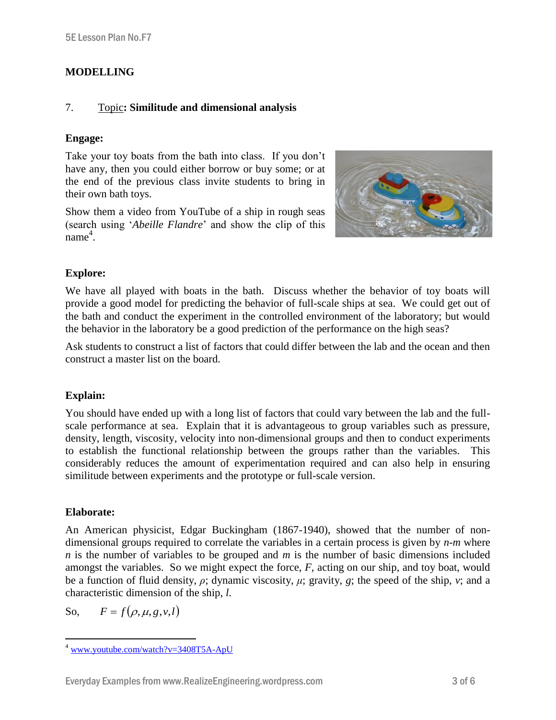# **MODELLING**

## 7. Topic**: Similitude and dimensional analysis**

### **Engage:**

Take your toy boats from the bath into class. If you don't have any, then you could either borrow or buy some; or at the end of the previous class invite students to bring in their own bath toys.

Show them a video from YouTube of a ship in rough seas (search using '*Abeille Flandre*' and show the clip of this name 4 .



### **Explore:**

We have all played with boats in the bath. Discuss whether the behavior of toy boats will provide a good model for predicting the behavior of full-scale ships at sea. We could get out of the bath and conduct the experiment in the controlled environment of the laboratory; but would the behavior in the laboratory be a good prediction of the performance on the high seas?

Ask students to construct a list of factors that could differ between the lab and the ocean and then construct a master list on the board.

### **Explain:**

You should have ended up with a long list of factors that could vary between the lab and the fullscale performance at sea. Explain that it is advantageous to group variables such as pressure, density, length, viscosity, velocity into non-dimensional groups and then to conduct experiments to establish the functional relationship between the groups rather than the variables. This considerably reduces the amount of experimentation required and can also help in ensuring similitude between experiments and the prototype or full-scale version.

### **Elaborate:**

An American physicist, Edgar Buckingham (1867-1940), showed that the number of nondimensional groups required to correlate the variables in a certain process is given by *n-m* where *n* is the number of variables to be grouped and *m* is the number of basic dimensions included amongst the variables. So we might expect the force, *F*, acting on our ship, and toy boat, would be a function of fluid density, *ρ*; dynamic viscosity, *μ*; gravity, *g*; the speed of the ship, *v*; and a characteristic dimension of the ship, *l*.

So,  $F = f(\rho, \mu, g, v, l)$ 

 $\overline{a}$ <sup>4</sup> [www.youtube.com/watch?v=3408T5A-ApU](http://www.youtube.com/watch?v=3408T5A-ApU)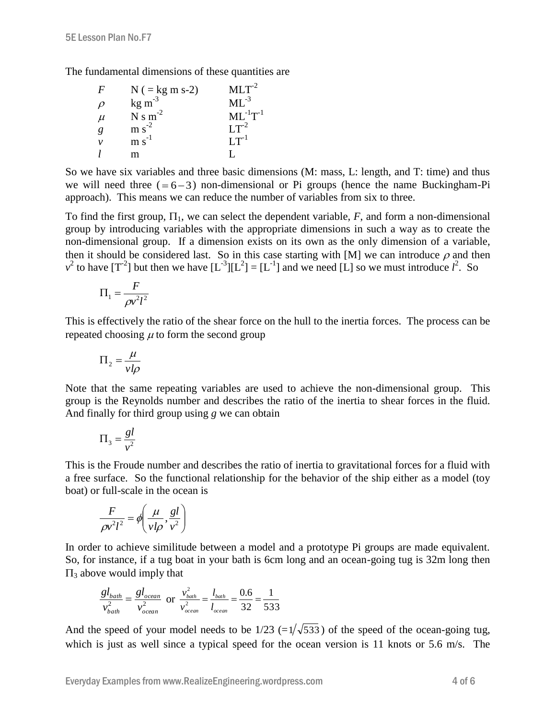The fundamental dimensions of these quantities are

| F      | $N$ ( = kg m s-2)           | $MLT^{-2}$      |
|--------|-----------------------------|-----------------|
| $\rho$ | $kg \, \text{m}^{-3}$       | $ML^{-3}$       |
| $\mu$  | $N s m-2$                   | $ML^{-1}T^{-1}$ |
| g      | $m s-2$                     | $LT^{-2}$       |
| ν      | $\mathrm{m}\mathrm{s}^{-1}$ | $LT^{-1}$       |
|        | m                           |                 |

So we have six variables and three basic dimensions (M: mass, L: length, and T: time) and thus we will need three  $(=6-3)$  non-dimensional or Pi groups (hence the name Buckingham-Pi approach). This means we can reduce the number of variables from six to three.

To find the first group,  $\Pi_1$ , we can select the dependent variable, *F*, and form a non-dimensional group by introducing variables with the appropriate dimensions in such a way as to create the non-dimensional group. If a dimension exists on its own as the only dimension of a variable, then it should be considered last. So in this case starting with [M] we can introduce  $\rho$  and then  $v^2$  to have  $[T^2]$  but then we have  $[L^3][L^2] = [L^{-1}]$  and we need [L] so we must introduce  $l^2$ . So

$$
\Pi_1 = \frac{F}{\rho v^2 l^2}
$$

This is effectively the ratio of the shear force on the hull to the inertia forces. The process can be repeated choosing  $\mu$  to form the second group

$$
\Pi_2 = \frac{\mu}{vl\rho}
$$

Note that the same repeating variables are used to achieve the non-dimensional group. This group is the Reynolds number and describes the ratio of the inertia to shear forces in the fluid. And finally for third group using *g* we can obtain

$$
\Pi_3 = \frac{gl}{v^2}
$$

This is the Froude number and describes the ratio of inertia to gravitational forces for a fluid with a free surface. So the functional relationship for the behavior of the ship either as a model (toy boat) or full-scale in the ocean is

$$
\frac{F}{\rho v^2 l^2} = \phi \left( \frac{\mu}{v l \rho}, \frac{gl}{v^2} \right)
$$

In order to achieve similitude between a model and a prototype Pi groups are made equivalent. So, for instance, if a tug boat in your bath is 6cm long and an ocean-going tug is 32m long then  $\Pi_3$  above would imply that

$$
\frac{gl_{bath}}{v_{bath}^{2}} = \frac{gl_{ocean}}{v_{ocean}^{2}} \text{ or } \frac{v_{bath}^{2}}{v_{ocean}^{2}} = \frac{l_{bath}}{l_{ocean}} = \frac{0.6}{32} = \frac{1}{533}
$$

And the speed of your model needs to be  $1/23$  ( $=1/\sqrt{533}$ ) of the speed of the ocean-going tug, which is just as well since a typical speed for the ocean version is 11 knots or 5.6 m/s. The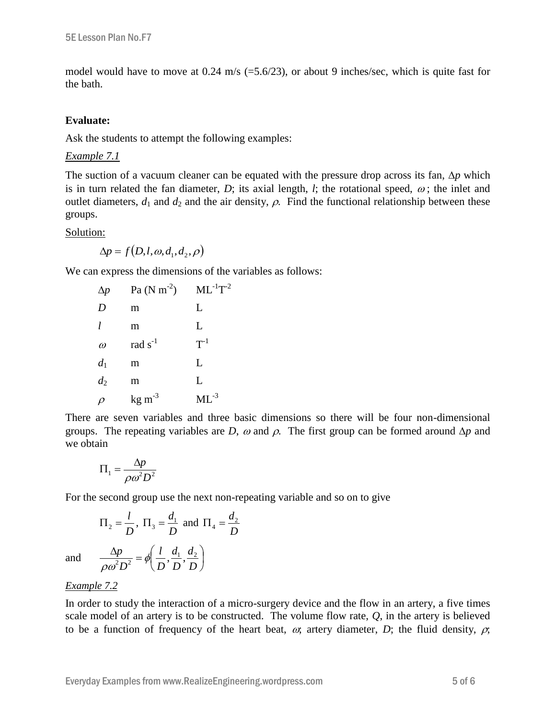model would have to move at 0.24 m/s (=5.6/23), or about 9 inches/sec, which is quite fast for the bath.

#### **Evaluate:**

Ask the students to attempt the following examples:

#### *Example 7.1*

The suction of a vacuum cleaner can be equated with the pressure drop across its fan,  $\Delta p$  which is in turn related the fan diameter, *D*; its axial length, *l*; the rotational speed,  $\omega$ ; the inlet and outlet diameters,  $d_1$  and  $d_2$  and the air density,  $\rho$ . Find the functional relationship between these groups.

#### Solution:

 $\Delta p = f(D, l, \omega, d_1, d_2, \rho)$ 

We can express the dimensions of the variables as follows:

| $\Delta p$ | $Pa (N m-2)$       | $ML^{-1}T^{-2}$ |
|------------|--------------------|-----------------|
| D          | m                  | L               |
| 1          | m                  | L               |
| $\omega$   | rad $s^{-1}$       | $T^{-1}$        |
| $d_1$      | m                  | L               |
| $d_2$      | m                  | L               |
| $\rho$     | $\text{kg m}^{-3}$ | $ML^{-3}$       |

There are seven variables and three basic dimensions so there will be four non-dimensional groups. The repeating variables are *D*,  $\omega$  and  $\rho$ . The first group can be formed around  $\Delta p$  and we obtain

$$
\Pi_1 = \frac{\Delta p}{\rho \omega^2 D^2}
$$

For the second group use the next non-repeating variable and so on to give

$$
\Pi_2 = \frac{l}{D}, \ \Pi_3 = \frac{d_1}{D} \text{ and } \Pi_4 = \frac{d_2}{D}
$$

$$
\frac{\Delta p}{\rho \omega^2 D^2} = \phi \left( \frac{l}{D}, \frac{d_1}{D}, \frac{d_2}{D} \right)
$$

and

### *Example 7.2*

 $\rho\omega$ 

In order to study the interaction of a micro-surgery device and the flow in an artery, a five times scale model of an artery is to be constructed. The volume flow rate, *Q*, in the artery is believed to be a function of frequency of the heart beat,  $\omega$ ; artery diameter, *D*; the fluid density,  $\rho$ ;